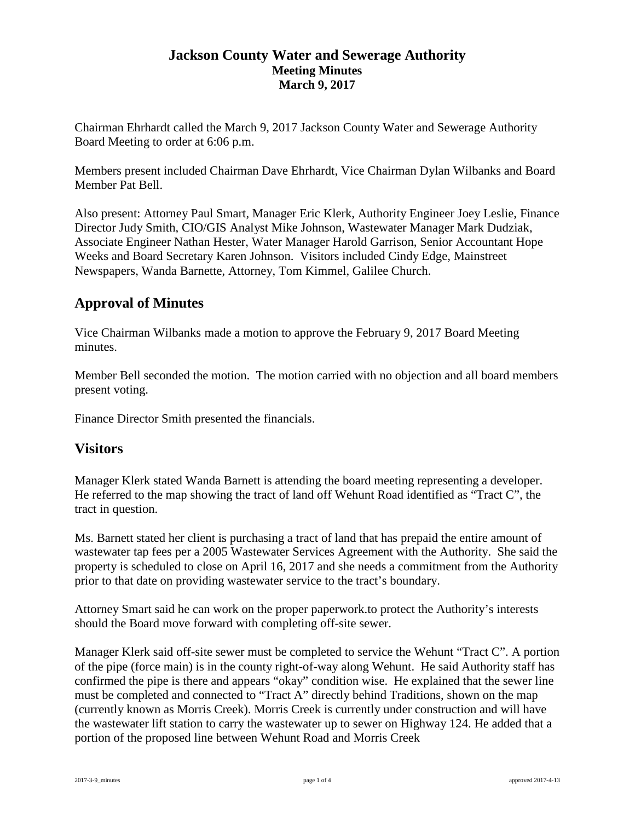### **Jackson County Water and Sewerage Authority Meeting Minutes March 9, 2017**

Chairman Ehrhardt called the March 9, 2017 Jackson County Water and Sewerage Authority Board Meeting to order at 6:06 p.m.

Members present included Chairman Dave Ehrhardt, Vice Chairman Dylan Wilbanks and Board Member Pat Bell.

Also present: Attorney Paul Smart, Manager Eric Klerk, Authority Engineer Joey Leslie, Finance Director Judy Smith, CIO/GIS Analyst Mike Johnson, Wastewater Manager Mark Dudziak, Associate Engineer Nathan Hester, Water Manager Harold Garrison, Senior Accountant Hope Weeks and Board Secretary Karen Johnson. Visitors included Cindy Edge, Mainstreet Newspapers, Wanda Barnette, Attorney, Tom Kimmel, Galilee Church.

# **Approval of Minutes**

Vice Chairman Wilbanks made a motion to approve the February 9, 2017 Board Meeting minutes.

Member Bell seconded the motion. The motion carried with no objection and all board members present voting.

Finance Director Smith presented the financials.

## **Visitors**

Manager Klerk stated Wanda Barnett is attending the board meeting representing a developer. He referred to the map showing the tract of land off Wehunt Road identified as "Tract C", the tract in question.

Ms. Barnett stated her client is purchasing a tract of land that has prepaid the entire amount of wastewater tap fees per a 2005 Wastewater Services Agreement with the Authority. She said the property is scheduled to close on April 16, 2017 and she needs a commitment from the Authority prior to that date on providing wastewater service to the tract's boundary.

Attorney Smart said he can work on the proper paperwork.to protect the Authority's interests should the Board move forward with completing off-site sewer.

Manager Klerk said off-site sewer must be completed to service the Wehunt "Tract C". A portion of the pipe (force main) is in the county right-of-way along Wehunt. He said Authority staff has confirmed the pipe is there and appears "okay" condition wise. He explained that the sewer line must be completed and connected to "Tract A" directly behind Traditions, shown on the map (currently known as Morris Creek). Morris Creek is currently under construction and will have the wastewater lift station to carry the wastewater up to sewer on Highway 124. He added that a portion of the proposed line between Wehunt Road and Morris Creek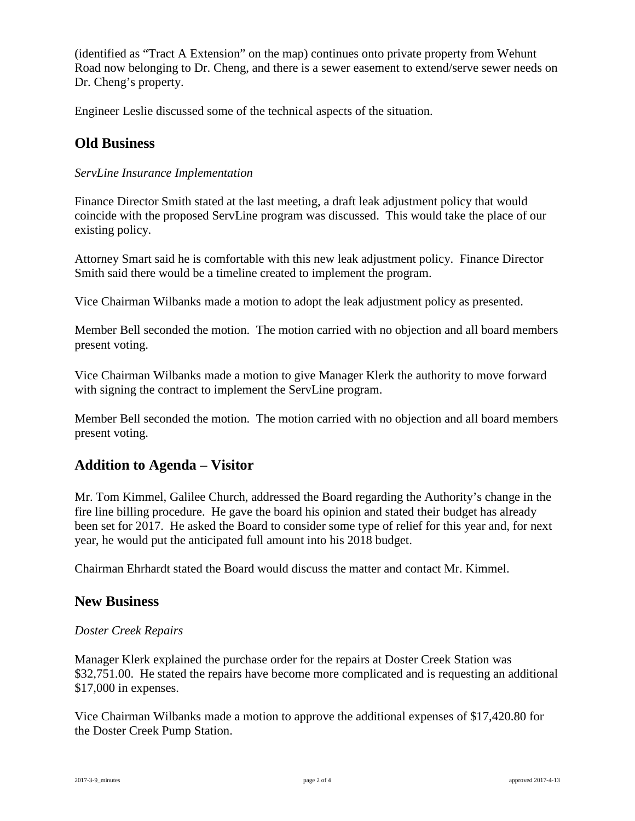(identified as "Tract A Extension" on the map) continues onto private property from Wehunt Road now belonging to Dr. Cheng, and there is a sewer easement to extend/serve sewer needs on Dr. Cheng's property.

Engineer Leslie discussed some of the technical aspects of the situation.

## **Old Business**

### *ServLine Insurance Implementation*

Finance Director Smith stated at the last meeting, a draft leak adjustment policy that would coincide with the proposed ServLine program was discussed. This would take the place of our existing policy.

Attorney Smart said he is comfortable with this new leak adjustment policy. Finance Director Smith said there would be a timeline created to implement the program.

Vice Chairman Wilbanks made a motion to adopt the leak adjustment policy as presented.

Member Bell seconded the motion. The motion carried with no objection and all board members present voting.

Vice Chairman Wilbanks made a motion to give Manager Klerk the authority to move forward with signing the contract to implement the ServLine program.

Member Bell seconded the motion. The motion carried with no objection and all board members present voting.

## **Addition to Agenda – Visitor**

Mr. Tom Kimmel, Galilee Church, addressed the Board regarding the Authority's change in the fire line billing procedure. He gave the board his opinion and stated their budget has already been set for 2017. He asked the Board to consider some type of relief for this year and, for next year, he would put the anticipated full amount into his 2018 budget.

Chairman Ehrhardt stated the Board would discuss the matter and contact Mr. Kimmel.

#### **New Business**

#### *Doster Creek Repairs*

Manager Klerk explained the purchase order for the repairs at Doster Creek Station was \$32,751.00. He stated the repairs have become more complicated and is requesting an additional \$17,000 in expenses.

Vice Chairman Wilbanks made a motion to approve the additional expenses of \$17,420.80 for the Doster Creek Pump Station.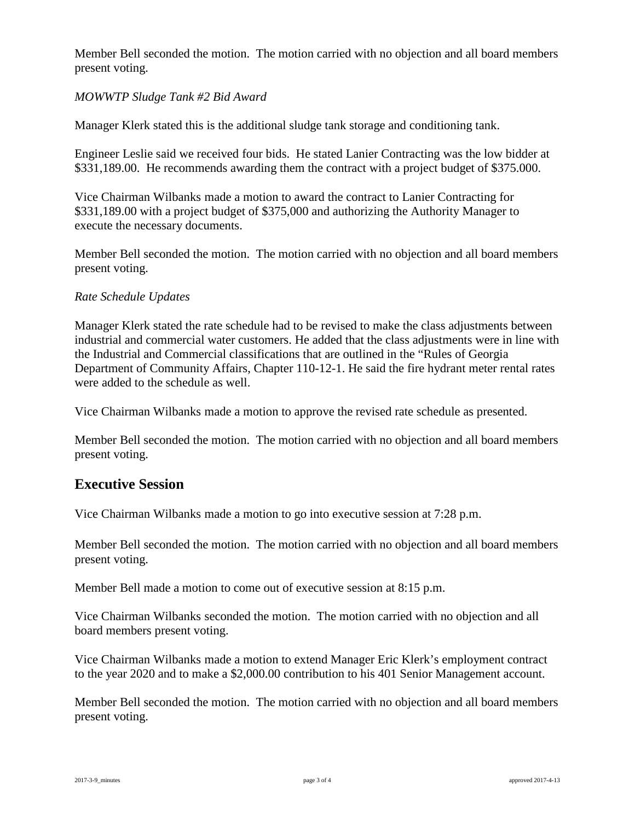Member Bell seconded the motion. The motion carried with no objection and all board members present voting.

### *MOWWTP Sludge Tank #2 Bid Award*

Manager Klerk stated this is the additional sludge tank storage and conditioning tank.

Engineer Leslie said we received four bids. He stated Lanier Contracting was the low bidder at \$331,189.00. He recommends awarding them the contract with a project budget of \$375.000.

Vice Chairman Wilbanks made a motion to award the contract to Lanier Contracting for \$331,189.00 with a project budget of \$375,000 and authorizing the Authority Manager to execute the necessary documents.

Member Bell seconded the motion. The motion carried with no objection and all board members present voting.

### *Rate Schedule Updates*

Manager Klerk stated the rate schedule had to be revised to make the class adjustments between industrial and commercial water customers. He added that the class adjustments were in line with the Industrial and Commercial classifications that are outlined in the "Rules of Georgia Department of Community Affairs, Chapter 110-12-1. He said the fire hydrant meter rental rates were added to the schedule as well.

Vice Chairman Wilbanks made a motion to approve the revised rate schedule as presented.

Member Bell seconded the motion. The motion carried with no objection and all board members present voting.

## **Executive Session**

Vice Chairman Wilbanks made a motion to go into executive session at 7:28 p.m.

Member Bell seconded the motion. The motion carried with no objection and all board members present voting.

Member Bell made a motion to come out of executive session at 8:15 p.m.

Vice Chairman Wilbanks seconded the motion. The motion carried with no objection and all board members present voting.

Vice Chairman Wilbanks made a motion to extend Manager Eric Klerk's employment contract to the year 2020 and to make a \$2,000.00 contribution to his 401 Senior Management account.

Member Bell seconded the motion. The motion carried with no objection and all board members present voting.